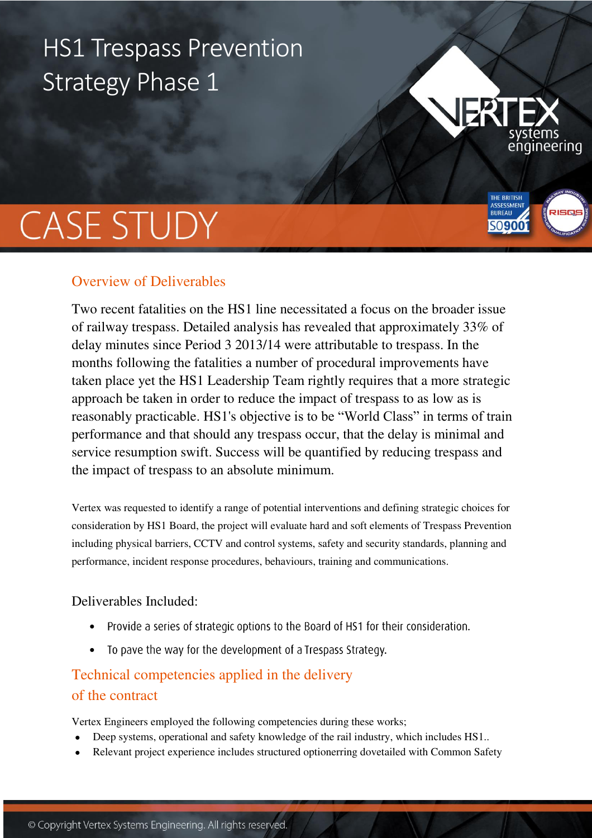# HS1 Trespass Prevention Strategy Phase 1



## Overview of Deliverables

Two recent fatalities on the HS1 line necessitated a focus on the broader issue of railway trespass. Detailed analysis has revealed that approximately 33% of delay minutes since Period 3 2013/14 were attributable to trespass. In the months following the fatalities a number of procedural improvements have taken place yet the HS1 Leadership Team rightly requires that a more strategic approach be taken in order to reduce the impact of trespass to as low as is reasonably practicable. HS1's objective is to be "World Class" in terms of train performance and that should any trespass occur, that the delay is minimal and service resumption swift. Success will be quantified by reducing trespass and the impact of trespass to an absolute minimum.

engineering

THE BRITISH **BUREAU** 

50900

Vertex was requested to identify a range of potential interventions and defining strategic choices for consideration by HS1 Board, the project will evaluate hard and soft elements of Trespass Prevention including physical barriers, CCTV and control systems, safety and security standards, planning and performance, incident response procedures, behaviours, training and communications.

## Deliverables Included:

- Provide a series of strategic options to the Board of HS1 for their consideration.  $\bullet$
- To pave the way for the development of a Trespass Strategy.

## Technical competencies applied in the delivery of the contract

Vertex Engineers employed the following competencies during these works;

- Deep systems, operational and safety knowledge of the rail industry, which includes HS1..
- Relevant project experience includes structured optionerring dovetailed with Common Safety